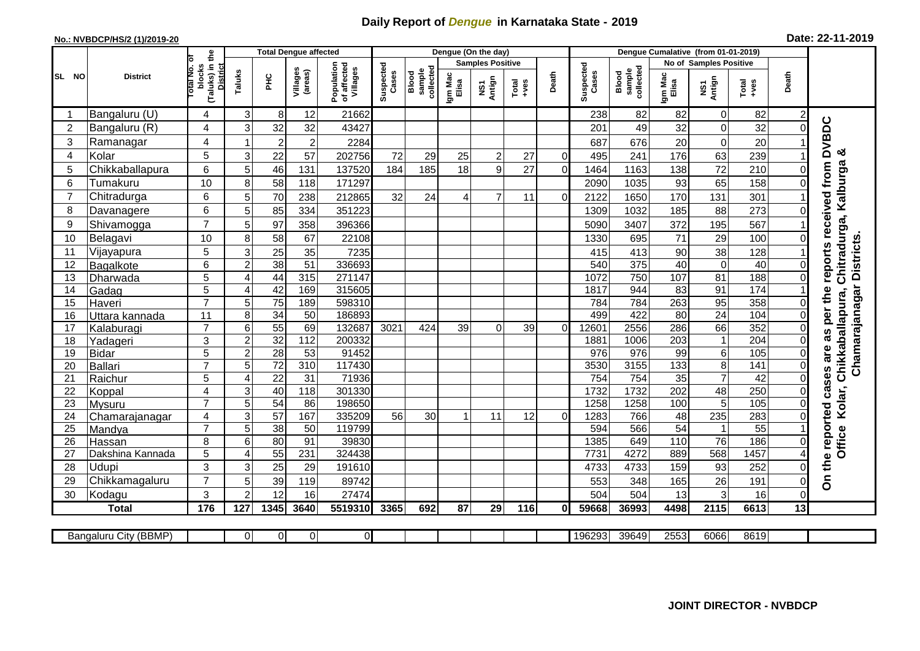## **Daily Report of** *Dengue* **in Karnataka State - 2019**

## **No.: NVBDCP/HS/2 (1)/2019-20 Date: 22-11-2019**

|                |                          |                                                             |                            |                 | <b>Total Dengue affected</b> |                                       |                    |                              |                         | Dengue (On the day) |                  |                |                    |                              |                  |                               |                  |                  |                             |
|----------------|--------------------------|-------------------------------------------------------------|----------------------------|-----------------|------------------------------|---------------------------------------|--------------------|------------------------------|-------------------------|---------------------|------------------|----------------|--------------------|------------------------------|------------------|-------------------------------|------------------|------------------|-----------------------------|
|                |                          |                                                             |                            |                 |                              |                                       |                    |                              | <b>Samples Positive</b> |                     |                  |                |                    |                              |                  | <b>No of Samples Positive</b> |                  |                  |                             |
| SL NO          | <b>District</b>          | (Taluks) in the<br>otal No. of<br>blocks<br><b>District</b> | Taluks                     | Ξ               | Villages<br>(areas)          | Population<br>of affected<br>Villages | Suspected<br>Cases | sample<br>collected<br>Blood | Igm Mac<br>Elisa        | NS1<br>Antign       | Total<br>$+ve$ s | Death          | Suspected<br>Cases | collected<br>Blood<br>sample | Igm Mac<br>Elisa | NS1<br>Antign                 | $Tota$<br>$+ves$ | Death            |                             |
|                | Bangaluru (U)            | 4                                                           | 3                          | 8               | 12                           | 21662                                 |                    |                              |                         |                     |                  |                | 238                | 82                           | 82               | 0                             | 82               | $\overline{c}$   |                             |
| $\overline{2}$ | Bangaluru (R)            | 4                                                           | 3                          | 32              | 32                           | 43427                                 |                    |                              |                         |                     |                  |                | 201                | 49                           | 32               | $\mathbf 0$                   | 32               | $\Omega$         |                             |
| 3              | Ramanagar                | 4                                                           |                            | $\overline{2}$  | $\overline{c}$               | 2284                                  |                    |                              |                         |                     |                  |                | 687                | 676                          | 20               | $\mathbf 0$                   | 20               |                  | reports received from DVBDC |
| $\overline{4}$ | Kolar                    | 5                                                           | 3                          | 22              | 57                           | 202756                                | 72                 | 29                           | 25                      | $\overline{c}$      | 27               | $\Omega$       | 495                | 241                          | 176              | 63                            | 239              |                  | య                           |
| 5              | Chikkaballapura          | $\,6$                                                       | 5                          | 46              | 131                          | 137520                                | 184                | 185                          | 18                      | 9                   | 27               | $\overline{0}$ | 1464               | 1163                         | 138              | 72                            | 210              | 0                |                             |
| 6              | Tumakuru                 | 10                                                          | 8                          | 58              | 118                          | 171297                                |                    |                              |                         |                     |                  |                | 2090               | 1035                         | 93               | 65                            | 158              | $\Omega$         | Chitradurga, Kalburga       |
| $\overline{7}$ | Chitradurga              | 6                                                           | 5                          | 70              | 238                          | 212865                                | 32                 | 24                           |                         | $\overline{7}$      | 11               | $\overline{0}$ | 2122               | 1650                         | 170              | 131                           | 301              |                  |                             |
| 8              | Davanagere               | 6                                                           | 5                          | 85              | 334                          | 351223                                |                    |                              |                         |                     |                  |                | 1309               | 1032                         | 185              | 88                            | 273              | $\Omega$         |                             |
| 9              | Shivamogga               | $\overline{7}$                                              | 5                          | 97              | 358                          | 396366                                |                    |                              |                         |                     |                  |                | 5090               | 3407                         | 372              | 195                           | 567              |                  |                             |
| 10             | Belagavi                 | 10                                                          | 8                          | 58              | 67                           | 22108                                 |                    |                              |                         |                     |                  |                | 1330               | 695                          | 71               | 29                            | 100              | $\Omega$         |                             |
| 11             | Vijayapura               | 5                                                           | 3                          | 25              | 35                           | 7235                                  |                    |                              |                         |                     |                  |                | 415                | 413                          | 90               | 38                            | 128              |                  | Chamarajanagar Districts    |
| 12             | Bagalkote                | $6\phantom{1}$                                              | $\overline{2}$             | 38              | $\overline{51}$              | 336693                                |                    |                              |                         |                     |                  |                | 540                | 375                          | $\overline{40}$  | $\overline{0}$                | 40               | $\mathbf 0$      |                             |
| 13             | Dharwada                 | 5                                                           | $\overline{4}$             | 44              | 315                          | 271147                                |                    |                              |                         |                     |                  |                | 1072               | 750                          | 107              | 81                            | 188              | $\pmb{0}$        |                             |
| 14             | Gadag                    | $\overline{5}$                                              | $\overline{4}$             | 42              | 169                          | 315605                                |                    |                              |                         |                     |                  |                | 1817               | 944                          | 83               | 91                            | 174              |                  |                             |
| 15             | Haveri                   | $\overline{7}$                                              | 5                          | 75              | 189                          | 598310                                |                    |                              |                         |                     |                  |                | 784                | 784                          | 263              | 95                            | 358              | 0                |                             |
| 16             | Uttara kannada           | 11                                                          | 8                          | $\overline{34}$ | $\overline{50}$              | 186893                                |                    |                              |                         |                     |                  |                | 499                | 422                          | $\overline{80}$  | 24                            | 104              | $\overline{0}$   | per the<br>Chikkaballapura, |
| 17             | Kalaburagi               | $\overline{7}$                                              | 6                          | $\overline{55}$ | 69                           | 132687                                | 3021               | 424                          | 39                      | $\Omega$            | 39               | $\Omega$       | 12601              | 2556                         | 286              | 66                            | 352              | 0                | as                          |
| 18             | Yadageri                 | 3                                                           | $\overline{2}$             | 32              | $\frac{1}{112}$              | 200332                                |                    |                              |                         |                     |                  |                | 1881               | 1006                         | 203              | $\mathbf{1}$                  | 204              | $\Omega$         |                             |
| 19             | <b>Bidar</b>             | 5                                                           | $\overline{c}$             | $\overline{28}$ | $\overline{53}$              | 91452                                 |                    |                              |                         |                     |                  |                | 976                | $\overline{976}$             | 99               | 6                             | 105              | 0                | are                         |
| 20             | Ballari                  | $\overline{7}$                                              | 5                          | 72              | 310                          | 117430                                |                    |                              |                         |                     |                  |                | 3530               | 3155                         | $\overline{133}$ | $\overline{8}$                | 141              | $\mathbf 0$      |                             |
| 21             | Raichur                  | 5                                                           | $\overline{4}$             | $\overline{22}$ | 31                           | 71936                                 |                    |                              |                         |                     |                  |                | 754                | 754                          | $\overline{35}$  | $\overline{7}$                | 42               | $\Omega$         | cases                       |
| 22             | Koppal                   | 4                                                           | 3                          | 40              | 118                          | 301330                                |                    |                              |                         |                     |                  |                | 1732               | 1732                         | 202              | 48                            | 250              | $\mathbf 0$      |                             |
| 23             | Mysuru                   | $\overline{7}$                                              | 5                          | $\overline{54}$ | 86                           | 198650                                |                    |                              |                         |                     |                  |                | 1258               | 1258                         | 100              | 5                             | 105              | 0                | Kolar,                      |
| 24             | Chamarajanagar           | 4                                                           | 3                          | 57              | 167                          | 335209                                | 56                 | 30                           |                         | 11                  | 12               | $\Omega$       | 1283               | 766                          | 48               | 235                           | 283              | 0                | reported                    |
| 25             | Mandya                   | $\overline{7}$                                              | 5                          | $\overline{38}$ | 50                           | 119799                                |                    |                              |                         |                     |                  |                | 594                | 566                          | $\overline{54}$  | $\mathbf{1}$                  | 55               |                  | Office                      |
| 26             | Hassan                   | 8                                                           | 6<br>$\boldsymbol{\Delta}$ | 80              | 91                           | 39830                                 |                    |                              |                         |                     |                  |                | 1385               | 649<br>4272                  | 110<br>889       | $\overline{76}$<br>568        | 186<br>1457      | 0                |                             |
| 27             | Dakshina Kannada         | 5                                                           |                            | 55              | 231                          | 324438                                |                    |                              |                         |                     |                  |                | 7731               |                              |                  |                               |                  | 4                |                             |
| 28<br>29       | Udupi                    | 3<br>$\overline{7}$                                         | 3<br>5                     | 25              | 29                           | 191610<br>89742                       |                    |                              |                         |                     |                  |                | 4733               | 4733                         | 159              | 93<br>26                      | 252              | 0                | On the                      |
| 30             | Chikkamagaluru<br>Kodagu | 3                                                           | $\overline{2}$             | 39<br>12        | 119<br>16                    | 27474                                 |                    |                              |                         |                     |                  |                | 553<br>504         | 348<br>504                   | 165<br>13        | 3                             | 191<br>16        | 0<br>$\mathbf 0$ |                             |
|                | <b>Total</b>             | 176                                                         | 127                        | 1345            | 3640                         | 5519310                               | 3365               | 692                          | 87                      | 29                  | 116              | 0l             | 59668              | 36993                        | 4498             | 2115                          | 6613             | 13               |                             |
|                |                          |                                                             |                            |                 |                              |                                       |                    |                              |                         |                     |                  |                |                    |                              |                  |                               |                  |                  |                             |
|                | Bangaluru City (BBMP)    |                                                             | $\Omega$                   | $\overline{0}$  | 0                            | $\overline{0}$                        |                    |                              |                         |                     |                  |                | 196293             | 39649                        | 2553             | 6066                          | 8619             |                  |                             |